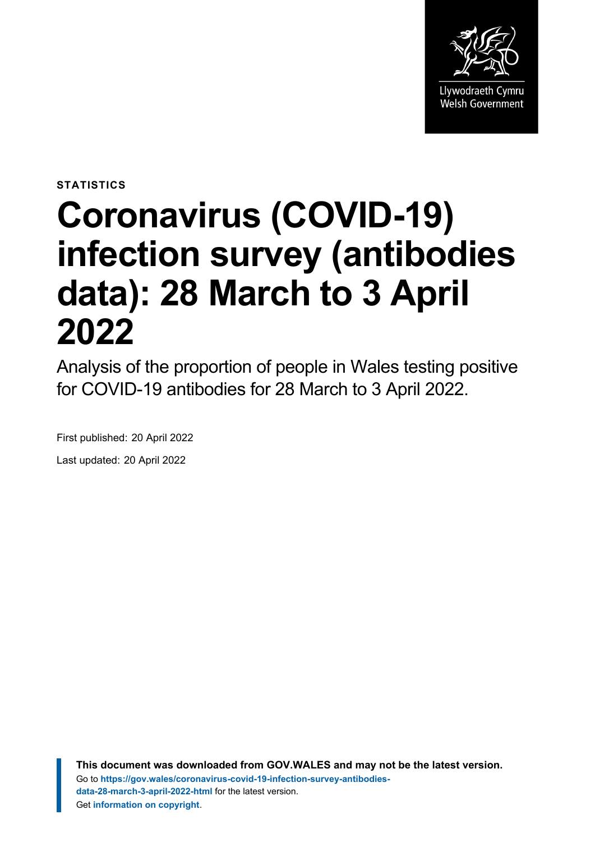

**STATISTICS**

# **Coronavirus (COVID-19) infection survey (antibodies data): 28 March to 3 April 2022**

Analysis of the proportion of people in Wales testing positive for COVID-19 antibodies for 28 March to 3 April 2022.

First published: 20 April 2022 Last updated: 20 April 2022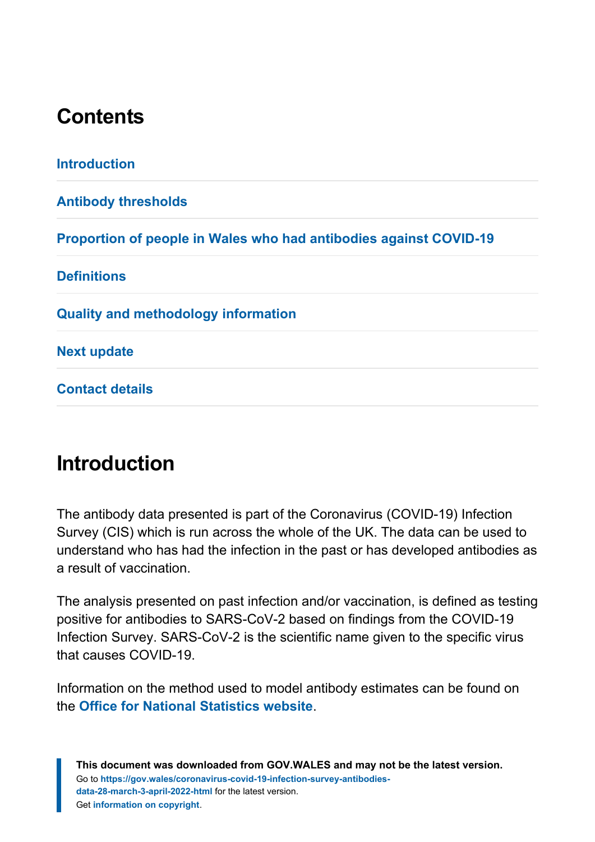# **Contents**

**[Introduction](#page-1-0) [Antibody thresholds](#page-2-0) [Proportion of people in Wales who had antibodies against COVID-19](#page-3-0) [Definitions](#page-6-0) [Quality and methodology information](#page-7-0) [Next update](#page-10-0) [Contact details](#page-10-1)**

# <span id="page-1-0"></span>**Introduction**

The antibody data presented is part of the Coronavirus (COVID-19) Infection Survey (CIS) which is run across the whole of the UK. The data can be used to understand who has had the infection in the past or has developed antibodies as a result of vaccination.

The analysis presented on past infection and/or vaccination, is defined as testing positive for antibodies to SARS-CoV-2 based on findings from the COVID-19 Infection Survey. SARS-CoV-2 is the scientific name given to the specific virus that causes COVID-19.

Information on the method used to model antibody estimates can be found on the **[Office for National Statistics](https://www.ons.gov.uk/peoplepopulationandcommunity/healthandsocialcare/conditionsanddiseases/methodologies/covid19infectionsurveypilotmethodsandfurtherinformation#antibody-and-vaccination-estimates) website**.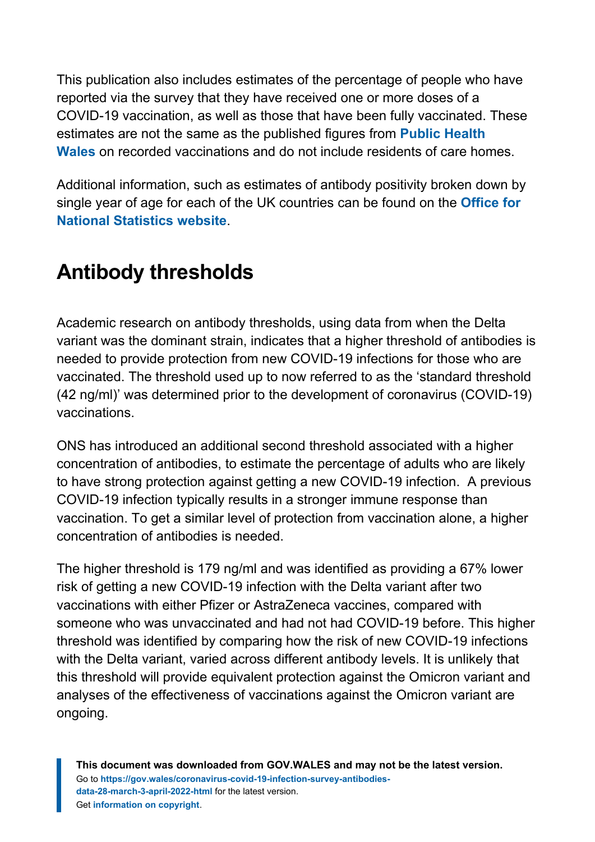This publication also includes estimates of the percentage of people who have reported via the survey that they have received one or more doses of a COVID-19 vaccination, as well as those that have been fully vaccinated. These estimates are not the same as the published figures from **[Public Health](https://public.tableau.com/profile/public.health.wales.health.protection#!/vizhome/RapidCOVID-19virology-Public/Headlinesummary) [Wales](https://public.tableau.com/profile/public.health.wales.health.protection#!/vizhome/RapidCOVID-19virology-Public/Headlinesummary)** on recorded vaccinations and do not include residents of care homes.

Additional information, such as estimates of antibody positivity broken down by single year of age for each of the UK countries can be found on the **[Office for](https://www.ons.gov.uk/peoplepopulationandcommunity/healthandsocialcare/conditionsanddiseases/articles/coronaviruscovid19infectionsurveyantibodydatafortheuk/previousReleases) [National Statistics website](https://www.ons.gov.uk/peoplepopulationandcommunity/healthandsocialcare/conditionsanddiseases/articles/coronaviruscovid19infectionsurveyantibodydatafortheuk/previousReleases)**.

# <span id="page-2-0"></span>**Antibody thresholds**

Academic research on antibody thresholds, using data from when the Delta variant was the dominant strain, indicates that a higher threshold of antibodies is needed to provide protection from new COVID-19 infections for those who are vaccinated. The threshold used up to now referred to as the 'standard threshold (42 ng/ml)' was determined prior to the development of coronavirus (COVID-19) vaccinations.

ONS has introduced an additional second threshold associated with a higher concentration of antibodies, to estimate the percentage of adults who are likely to have strong protection against getting a new COVID-19 infection. A previous COVID-19 infection typically results in a stronger immune response than vaccination. To get a similar level of protection from vaccination alone, a higher concentration of antibodies is needed.

The higher threshold is 179 ng/ml and was identified as providing a 67% lower risk of getting a new COVID-19 infection with the Delta variant after two vaccinations with either Pfizer or AstraZeneca vaccines, compared with someone who was unvaccinated and had not had COVID-19 before. This higher threshold was identified by comparing how the risk of new COVID-19 infections with the Delta variant, varied across different antibody levels. It is unlikely that this threshold will provide equivalent protection against the Omicron variant and analyses of the effectiveness of vaccinations against the Omicron variant are ongoing.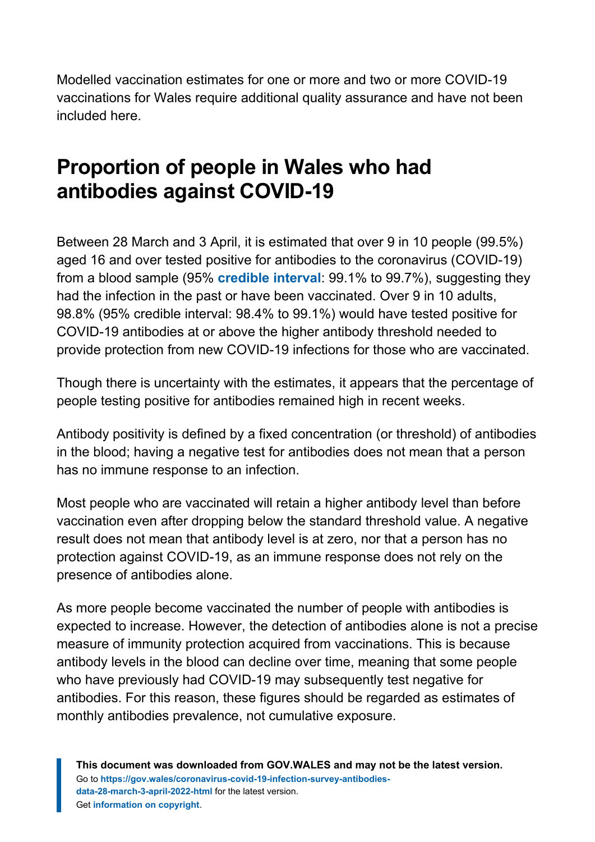Modelled vaccination estimates for one or more and two or more COVID-19 vaccinations for Wales require additional quality assurance and have not been included here.

# <span id="page-3-0"></span>**Proportion of people in Wales who had antibodies against COVID-19**

Between 28 March and 3 April, it is estimated that over 9 in 10 people (99.5%) aged 16 and over tested positive for antibodies to the coronavirus (COVID-19) from a blood sample (95% **[credible interval](#page-6-1)**: 99.1% to 99.7%), suggesting they had the infection in the past or have been vaccinated. Over 9 in 10 adults, 98.8% (95% credible interval: 98.4% to 99.1%) would have tested positive for COVID-19 antibodies at or above the higher antibody threshold needed to provide protection from new COVID-19 infections for those who are vaccinated.

Though there is uncertainty with the estimates, it appears that the percentage of people testing positive for antibodies remained high in recent weeks.

Antibody positivity is defined by a fixed concentration (or threshold) of antibodies in the blood; having a negative test for antibodies does not mean that a person has no immune response to an infection.

Most people who are vaccinated will retain a higher antibody level than before vaccination even after dropping below the standard threshold value. A negative result does not mean that antibody level is at zero, nor that a person has no protection against COVID-19, as an immune response does not rely on the presence of antibodies alone.

As more people become vaccinated the number of people with antibodies is expected to increase. However, the detection of antibodies alone is not a precise measure of immunity protection acquired from vaccinations. This is because antibody levels in the blood can decline over time, meaning that some people who have previously had COVID-19 may subsequently test negative for antibodies. For this reason, these figures should be regarded as estimates of monthly antibodies prevalence, not cumulative exposure.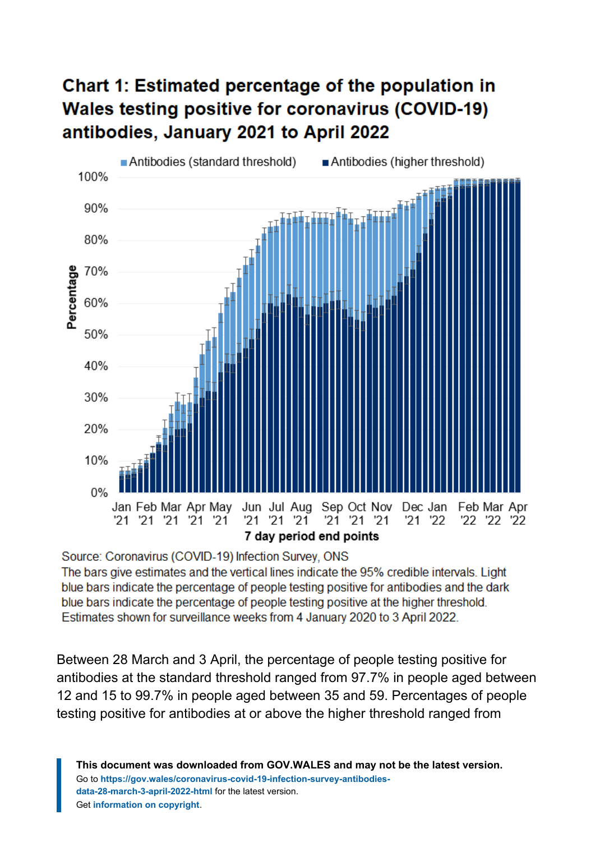### **Chart 1: Estimated percentage of the population in Wales testing positive for coronavirus (COVID-19)** antibodies, January 2021 to April 2022



Source: Coronavirus (COVID-19) Infection Survey, ONS

The bars give estimates and the vertical lines indicate the 95% credible intervals. Light blue bars indicate the percentage of people testing positive for antibodies and the dark blue bars indicate the percentage of people testing positive at the higher threshold. Estimates shown for surveillance weeks from 4 January 2020 to 3 April 2022.

Between 28 March and 3 April, the percentage of people testing positive for antibodies at the standard threshold ranged from 97.7% in people aged between 12 and 15 to 99.7% in people aged between 35 and 59. Percentages of people testing positive for antibodies at or above the higher threshold ranged from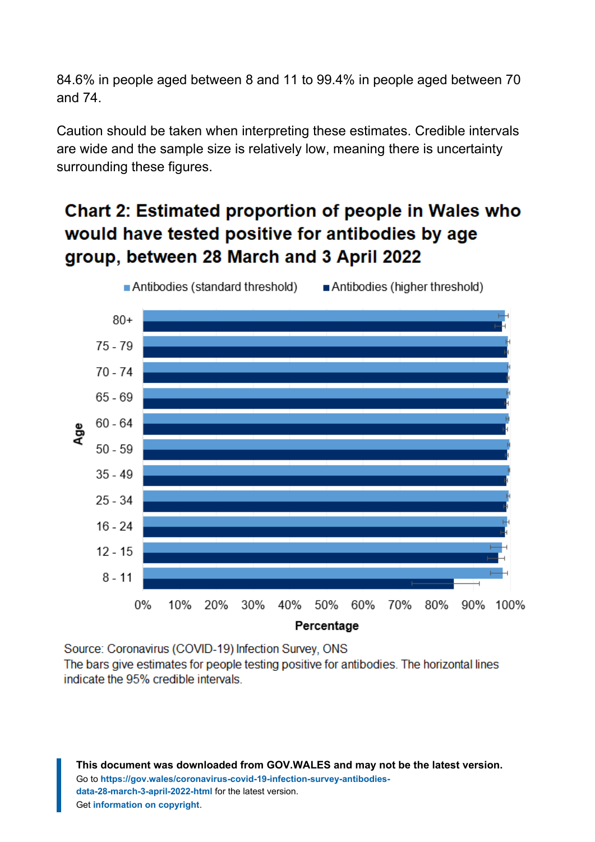84.6% in people aged between 8 and 11 to 99.4% in people aged between 70 and 74.

Caution should be taken when interpreting these estimates. Credible intervals are wide and the sample size is relatively low, meaning there is uncertainty surrounding these figures.

#### **Chart 2: Estimated proportion of people in Wales who** would have tested positive for antibodies by age group, between 28 March and 3 April 2022



Source: Coronavirus (COVID-19) Infection Survey, ONS

The bars give estimates for people testing positive for antibodies. The horizontal lines indicate the 95% credible intervals.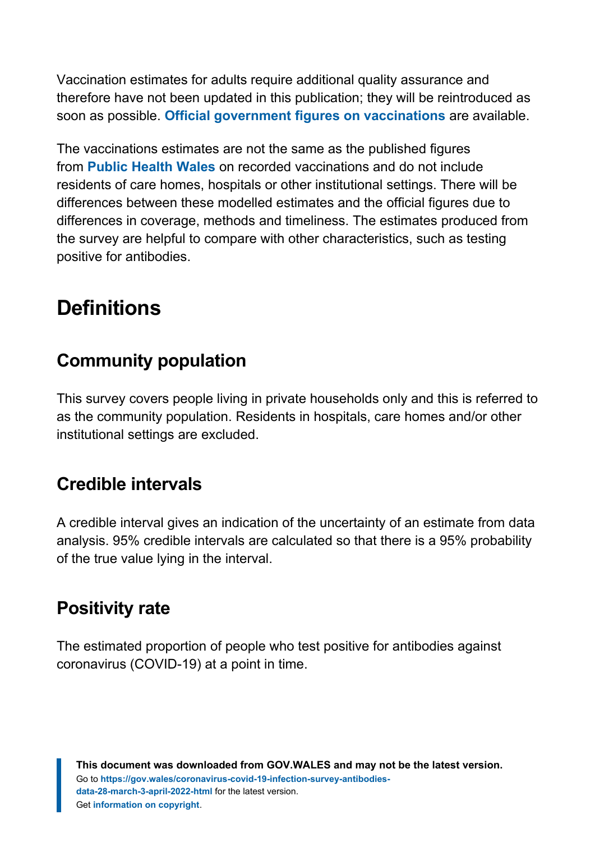Vaccination estimates for adults require additional quality assurance and therefore have not been updated in this publication; they will be reintroduced as soon as possible. **[Official government figures on vaccinations](https://coronavirus.data.gov.uk/details/vaccinations)** ar[e](https://coronavirus.data.gov.uk/details/vaccinations) available.

The vaccinations estimates are not the same as the published figures from **[Public Health Wales](https://public.tableau.com/profile/public.health.wales.health.protection#!/vizhome/RapidCOVID-19virology-Public/Headlinesummary)** on recorded vaccinations and do not include residents of care homes, hospitals or other institutional settings. There will be differences between these modelled estimates and the official figures due to differences in coverage, methods and timeliness. The estimates produced from the survey are helpful to compare with other characteristics, such as testing positive for antibodies.

# <span id="page-6-0"></span>**Definitions**

#### <span id="page-6-2"></span>**Community population**

This survey covers people living in private households only and this is referred to as the community population. Residents in hospitals, care homes and/or other institutional settings are excluded.

#### <span id="page-6-1"></span>**Credible intervals**

A credible interval gives an indication of the uncertainty of an estimate from data analysis. 95% credible intervals are calculated so that there is a 95% probability of the true value lying in the interval.

#### **Positivity rate**

The estimated proportion of people who test positive for antibodies against coronavirus (COVID-19) at a point in time.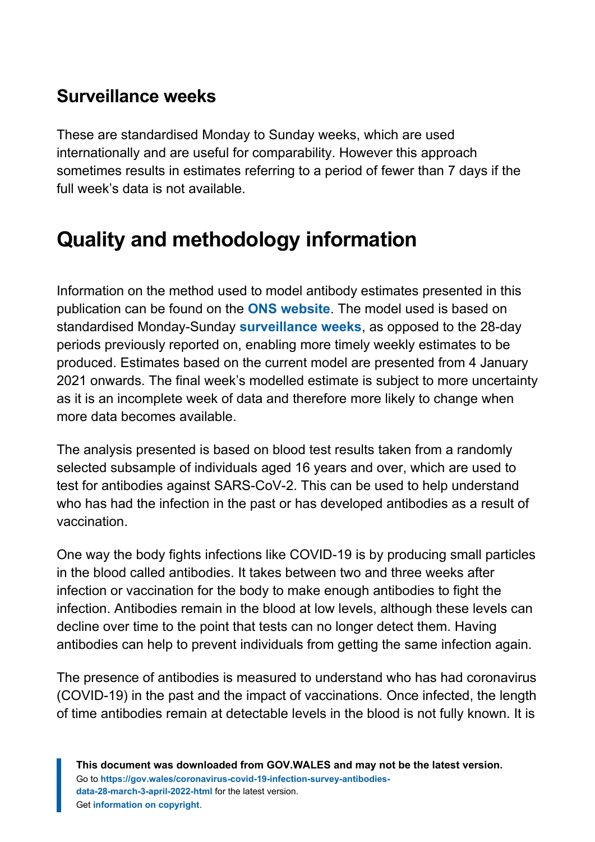#### <span id="page-7-1"></span>**Surveillance weeks**

These are standardised Monday to Sunday weeks, which are used internationally and are useful for comparability. However this approach sometimes results in estimates referring to a period of fewer than 7 days if the full week's data is not available.

# <span id="page-7-0"></span>**Quality and methodology information**

Information on the method used to model antibody estimates presented in this publication can be found on the **[ONS website](https://www.ons.gov.uk/peoplepopulationandcommunity/healthandsocialcare/conditionsanddiseases/methodologies/covid19infectionsurveypilotmethodsandfurtherinformation#antibody-and-vaccination-estimates)**. The model used is based on standardised Monday-Sunday **[surveillance weeks](#page-7-1)**, as opposed to the 28-day periods previously reported on, enabling more timely weekly estimates to be produced. Estimates based on the current model are presented from 4 January 2021 onwards. The final week's modelled estimate is subject to more uncertainty as it is an incomplete week of data and therefore more likely to change when more data becomes available.

The analysis presented is based on blood test results taken from a randomly selected subsample of individuals aged 16 years and over, which are used to test for antibodies against SARS-CoV-2. This can be used to help understand who has had the infection in the past or has developed antibodies as a result of vaccination.

One way the body fights infections like COVID-19 is by producing small particles in the blood called antibodies. It takes between two and three weeks after infection or vaccination for the body to make enough antibodies to fight the infection. Antibodies remain in the blood at low levels, although these levels can decline over time to the point that tests can no longer detect them. Having antibodies can help to prevent individuals from getting the same infection again.

The presence of antibodies is measured to understand who has had coronavirus (COVID-19) in the past and the impact of vaccinations. Once infected, the length of time antibodies remain at detectable levels in the blood is not fully known. It is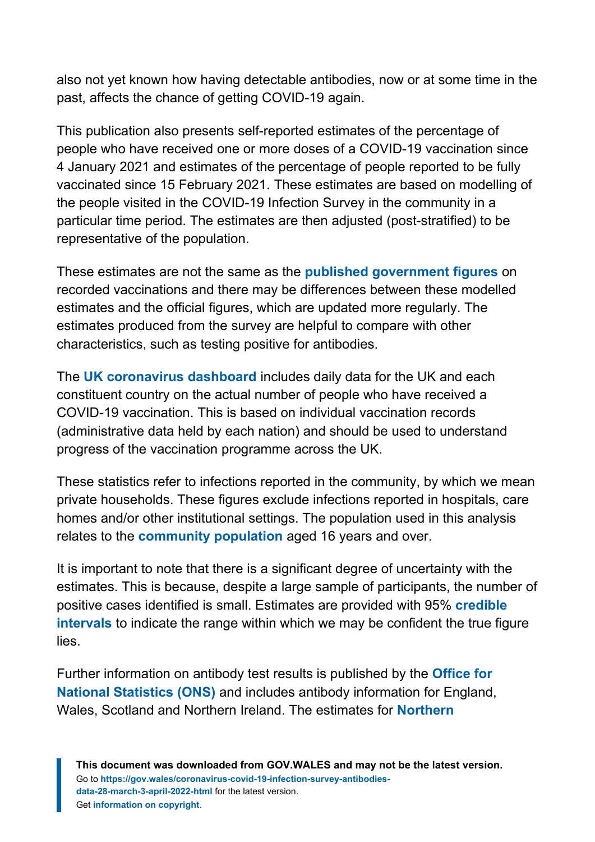also not yet known how having detectable antibodies, now or at some time in the past, affects the chance of getting COVID-19 again.

This publication also presents self-reported estimates of the percentage of people who have received one or more doses of a COVID-19 vaccination since 4 January 2021 and estimates of the percentage of people reported to be fully vaccinated since 15 February 2021. These estimates are based on modelling of the people visited in the COVID-19 Infection Survey in the community in a particular time period. The estimates are then adjusted (post-stratified) to be representative of the population.

These estimates are not the same as the **[published government figures](https://public.tableau.com/profile/public.health.wales.health.protection#!/vizhome/RapidCOVID-19virology-Public/Headlinesummary)** on recorded vaccinations and there may be differences between these modelled estimates and the official figures, which are updated more regularly. The estimates produced from the survey are helpful to compare with other characteristics, such as testing positive for antibodies.

The **[UK coronavirus dashboard](https://coronavirus.data.gov.uk/details/vaccinations)** includes daily data for the UK and each constituent country on the actual number of people who have received a COVID-19 vaccination. This is based on individual vaccination records (administrative data held by each nation) and should be used to understand progress of the vaccination programme across the UK.

These statistics refer to infections reported in the community, by which we mean private households. These figures exclude infections reported in hospitals, care homes and/or other institutional settings. The population used in this analysis relates to the **[community population](#page-6-2)** aged 16 years and over.

It is important to note that there is a significant degree of uncertainty with the estimates. This is because, despite a large sample of participants, the number of positive cases identified is small. Estimates are provided with 95% **[credible](#page-6-1) [intervals](#page-6-1)** to indicate the range within which we may be confident the true figure lies.

Further information on antibody test results is published by the **[Office for](https://www.ons.gov.uk/peoplepopulationandcommunity/healthandsocialcare/conditionsanddiseases/articles/coronaviruscovid19infectionsurveyantibodydatafortheuk/previousReleases) [National Statistics \(ONS\)](https://www.ons.gov.uk/peoplepopulationandcommunity/healthandsocialcare/conditionsanddiseases/articles/coronaviruscovid19infectionsurveyantibodydatafortheuk/previousReleases)** and includes antibody information for England, Wales, Scotland and Northern Ireland. The estimates for **[Northern](https://www.health-ni.gov.uk/articles/covid-19-infection-survey)**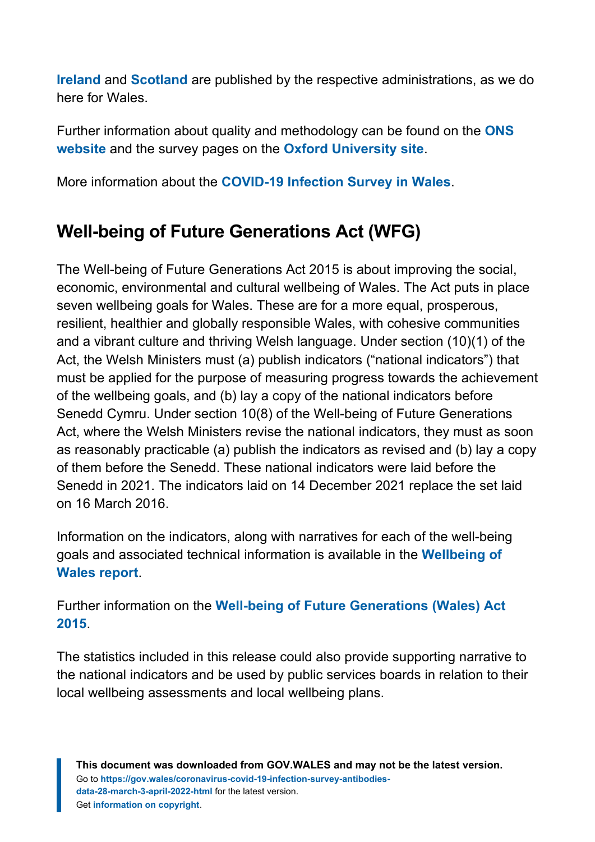**[Ireland](https://www.health-ni.gov.uk/articles/covid-19-infection-survey)** and **[Scotland](https://www.gov.scot/collections/coronavirus-covid-19-infection-survey/)** are published by the respective administrations, as we do here for Wales.

Further information about quality and methodology can be found on the **[ONS](https://www.ons.gov.uk/peoplepopulationandcommunity/healthandsocialcare/conditionsanddiseases/methodologies/covid19infectionsurveypilotmethodsandfurtherinformation) [website](https://www.ons.gov.uk/peoplepopulationandcommunity/healthandsocialcare/conditionsanddiseases/methodologies/covid19infectionsurveypilotmethodsandfurtherinformation)** and the survey pages on the **[Oxford University site](https://www.ndm.ox.ac.uk/covid-19/covid-19-infection-survey)**.

More information about the **[COVID-19 Infection Survey in Wales](https://gov.wales/coronavirus-covid-19-infection-survey-positivity-estimates)**.

#### **Well-being of Future Generations Act (WFG)**

The Well-being of Future Generations Act 2015 is about improving the social, economic, environmental and cultural wellbeing of Wales. The Act puts in place seven wellbeing goals for Wales. These are for a more equal, prosperous, resilient, healthier and globally responsible Wales, with cohesive communities and a vibrant culture and thriving Welsh language. Under section (10)(1) of the Act, the Welsh Ministers must (a) publish indicators ("national indicators") that must be applied for the purpose of measuring progress towards the achievement of the wellbeing goals, and (b) lay a copy of the national indicators before Senedd Cymru. Under section 10(8) of the Well-being of Future Generations Act, where the Welsh Ministers revise the national indicators, they must as soon as reasonably practicable (a) publish the indicators as revised and (b) lay a copy of them before the Senedd. These national indicators were laid before the Senedd in 2021. The indicators laid on 14 December 2021 replace the set laid on 16 March 2016.

Information on the indicators, along with narratives for each of the well-being goals and associated technical information is available in the **[Wellbeing of](https://gov.wales/wellbeing-wales) [Wales report](https://gov.wales/wellbeing-wales)**.

Further information on the **[Well-being of Future Generations \(Wales\) Act](https://gov.wales/well-being-future-generations-wales-act-2015-guidance) [2015](https://gov.wales/well-being-future-generations-wales-act-2015-guidance)**.

The statistics included in this release could also provide supporting narrative to the national indicators and be used by public services boards in relation to their local wellbeing assessments and local wellbeing plans.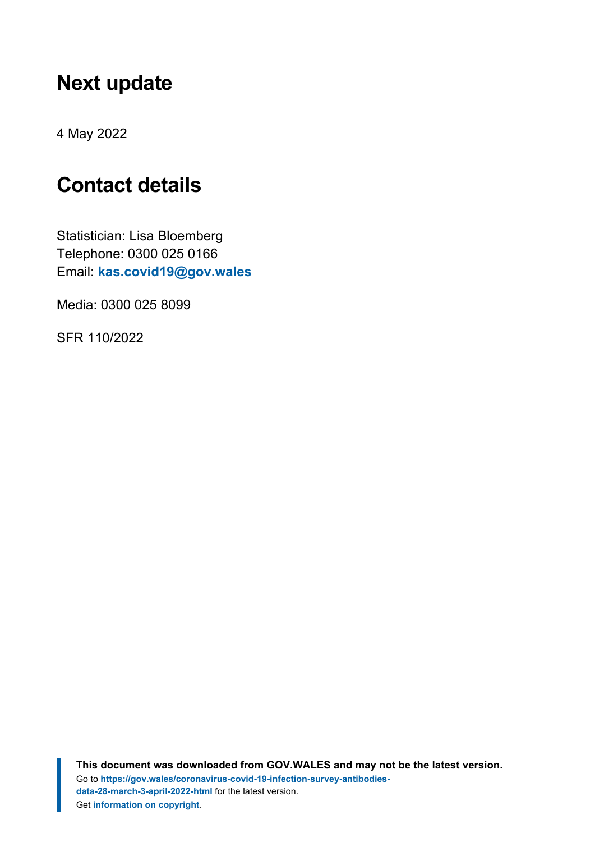## <span id="page-10-0"></span>**Next update**

4 May 2022

## <span id="page-10-1"></span>**Contact details**

Statistician: Lisa Bloemberg Telephone: 0300 025 0166 Email: **[kas.covid19@gov.wales](mailto:kas.covid19@gov.wales)**

Media: 0300 025 8099

SFR 110/2022